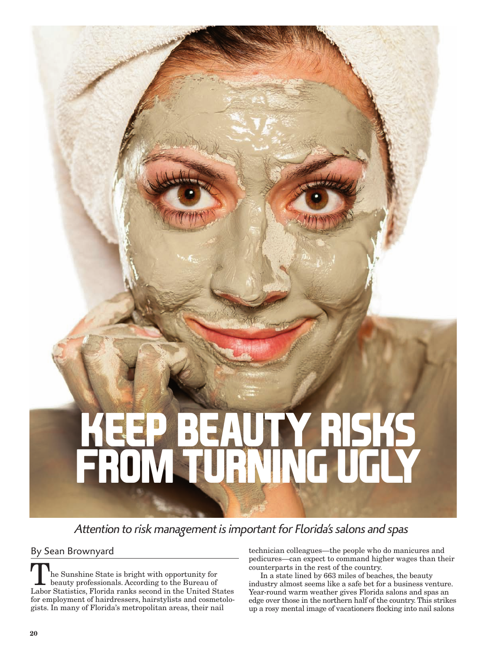# **KUTY RISKS from turning ugly**

# *Attention to risk management is important for Florida's salons and spas*

By Sean Brownyard

he Sunshine State is bright with opportunity for beauty professionals. According to the Bureau of Labor Statistics, Florida ranks second in the United States for employment of hairdressers, hairstylists and cosmetologists. In many of Florida's metropolitan areas, their nail

technician colleagues—the people who do manicures and pedicures—can expect to command higher wages than their counterparts in the rest of the country.

In a state lined by 663 miles of beaches, the beauty industry almost seems like a safe bet for a business venture. Year-round warm weather gives Florida salons and spas an edge over those in the northern half of the country. This strikes up a rosy mental image of vacationers flocking into nail salons